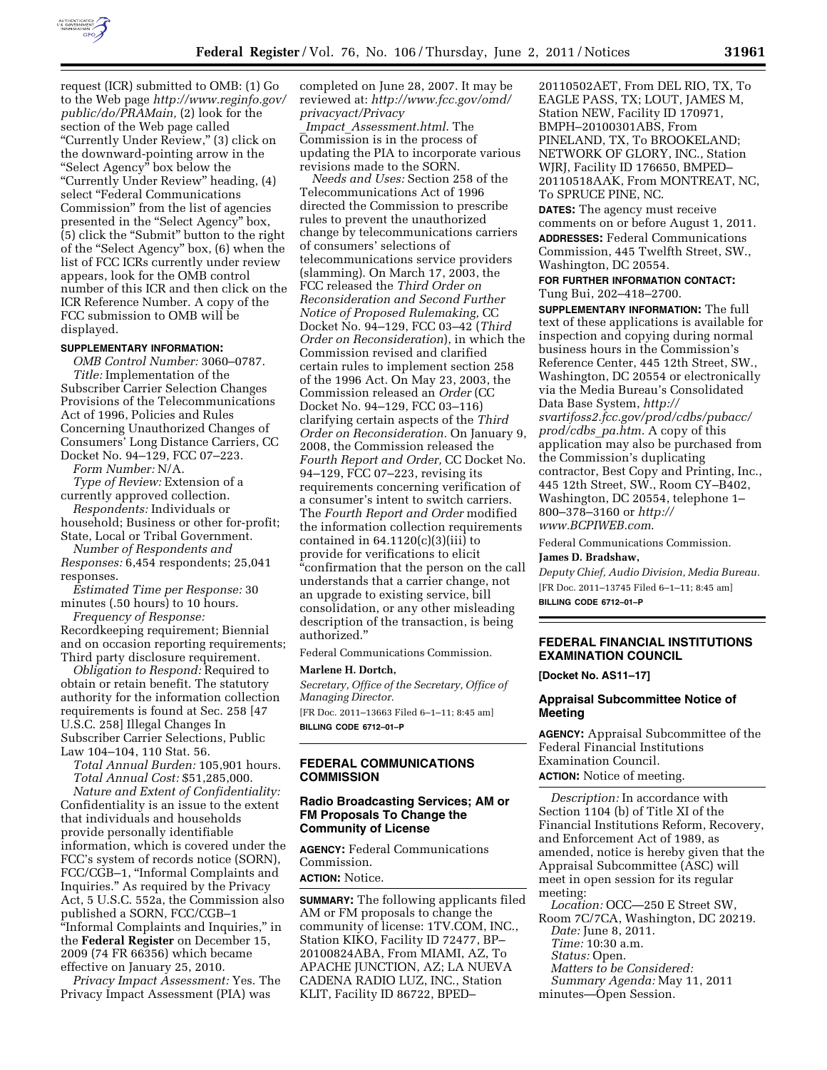

request (ICR) submitted to OMB: (1) Go to the Web page *[http://www.reginfo.gov/](http://www.reginfo.gov/public/do/PRAMain)  [public/do/PRAMain,](http://www.reginfo.gov/public/do/PRAMain)* (2) look for the section of the Web page called ''Currently Under Review,'' (3) click on the downward-pointing arrow in the ''Select Agency'' box below the ''Currently Under Review'' heading, (4) select ''Federal Communications Commission'' from the list of agencies presented in the "Select Agency" box, (5) click the ''Submit'' button to the right of the ''Select Agency'' box, (6) when the list of FCC ICRs currently under review appears, look for the OMB control number of this ICR and then click on the ICR Reference Number. A copy of the FCC submission to OMB will be displayed.

#### **SUPPLEMENTARY INFORMATION:**

*OMB Control Number:* 3060–0787. *Title:* Implementation of the Subscriber Carrier Selection Changes Provisions of the Telecommunications Act of 1996, Policies and Rules Concerning Unauthorized Changes of Consumers' Long Distance Carriers, CC Docket No. 94–129, FCC 07–223.

*Form Number:* N/A.

*Type of Review:* Extension of a currently approved collection.

*Respondents:* Individuals or household; Business or other for-profit; State, Local or Tribal Government.

*Number of Respondents and Responses:* 6,454 respondents; 25,041

responses. *Estimated Time per Response:* 30

minutes (.50 hours) to 10 hours.

*Frequency of Response:*  Recordkeeping requirement; Biennial and on occasion reporting requirements; Third party disclosure requirement.

*Obligation to Respond:* Required to obtain or retain benefit. The statutory authority for the information collection requirements is found at Sec. 258 [47 U.S.C. 258] Illegal Changes In Subscriber Carrier Selections, Public Law 104–104, 110 Stat. 56.

*Total Annual Burden:* 105,901 hours. *Total Annual Cost:* \$51,285,000.

*Nature and Extent of Confidentiality:*  Confidentiality is an issue to the extent that individuals and households provide personally identifiable information, which is covered under the FCC's system of records notice (SORN), FCC/CGB–1, ''Informal Complaints and Inquiries.'' As required by the Privacy Act, 5 U.S.C. 552a, the Commission also published a SORN, FCC/CGB–1 ''Informal Complaints and Inquiries,'' in the **Federal Register** on December 15, 2009 (74 FR 66356) which became effective on January 25, 2010.

*Privacy Impact Assessment:* Yes. The Privacy Impact Assessment (PIA) was

completed on June 28, 2007. It may be reviewed at: *[http://www.fcc.gov/omd/](http://www.fcc.gov/omd/privacyact/Privacy_Impact_Assessment.html)  [privacyact/Privacy](http://www.fcc.gov/omd/privacyact/Privacy_Impact_Assessment.html)*

\_*Impact*\_*[Assessment.html](http://www.fcc.gov/omd/privacyact/Privacy_Impact_Assessment.html)*. The Commission is in the process of updating the PIA to incorporate various revisions made to the SORN.

*Needs and Uses:* Section 258 of the Telecommunications Act of 1996 directed the Commission to prescribe rules to prevent the unauthorized change by telecommunications carriers of consumers' selections of telecommunications service providers (slamming). On March 17, 2003, the FCC released the *Third Order on Reconsideration and Second Further Notice of Proposed Rulemaking,* CC Docket No. 94–129, FCC 03–42 (*Third Order on Reconsideration*), in which the Commission revised and clarified certain rules to implement section 258 of the 1996 Act. On May 23, 2003, the Commission released an *Order* (CC Docket No. 94–129, FCC 03–116) clarifying certain aspects of the *Third Order on Reconsideration.* On January 9, 2008, the Commission released the *Fourth Report and Order,* CC Docket No. 94–129, FCC 07–223, revising its requirements concerning verification of a consumer's intent to switch carriers. The *Fourth Report and Order* modified the information collection requirements contained in  $64.1120(c)(3)(iii)$  to provide for verifications to elicit ''confirmation that the person on the call understands that a carrier change, not an upgrade to existing service, bill consolidation, or any other misleading description of the transaction, is being authorized.''

Federal Communications Commission.

#### **Marlene H. Dortch,**

*Secretary, Office of the Secretary, Office of Managing Director.* 

[FR Doc. 2011–13663 Filed 6–1–11; 8:45 am] **BILLING CODE 6712–01–P** 

## **FEDERAL COMMUNICATIONS COMMISSION**

## **Radio Broadcasting Services; AM or FM Proposals To Change the Community of License**

**AGENCY:** Federal Communications Commission. **ACTION:** Notice.

**SUMMARY:** The following applicants filed AM or FM proposals to change the community of license: 1TV.COM, INC., Station KIKO, Facility ID 72477, BP– 20100824ABA, From MIAMI, AZ, To APACHE JUNCTION, AZ; LA NUEVA CADENA RADIO LUZ, INC., Station KLIT, Facility ID 86722, BPED–

20110502AET, From DEL RIO, TX, To EAGLE PASS, TX; LOUT, JAMES M, Station NEW, Facility ID 170971, BMPH–20100301ABS, From PINELAND, TX, To BROOKELAND; NETWORK OF GLORY, INC., Station WJRJ, Facility ID 176650, BMPED– 20110518AAK, From MONTREAT, NC, To SPRUCE PINE, NC.

**DATES:** The agency must receive comments on or before August 1, 2011. **ADDRESSES:** Federal Communications Commission, 445 Twelfth Street, SW., Washington, DC 20554.

**FOR FURTHER INFORMATION CONTACT:**  Tung Bui, 202–418–2700.

**SUPPLEMENTARY INFORMATION:** The full text of these applications is available for inspection and copying during normal business hours in the Commission's Reference Center, 445 12th Street, SW., Washington, DC 20554 or electronically via the Media Bureau's Consolidated Data Base System, *[http://](http://svartifoss2.fcc.gov/prod/cdbs/pubacc/prod/cdbs_pa.htm)  [svartifoss2.fcc.gov/prod/cdbs/pubacc/](http://svartifoss2.fcc.gov/prod/cdbs/pubacc/prod/cdbs_pa.htm)  [prod/cdbs](http://svartifoss2.fcc.gov/prod/cdbs/pubacc/prod/cdbs_pa.htm)*\_*pa.htm.* A copy of this application may also be purchased from the Commission's duplicating contractor, Best Copy and Printing, Inc., 445 12th Street, SW., Room CY–B402, Washington, DC 20554, telephone 1– 800–378–3160 or *[http://](http://www.BCPIWEB.com)  [www.BCPIWEB.com](http://www.BCPIWEB.com)*.

Federal Communications Commission.

**James D. Bradshaw,** 

*Deputy Chief, Audio Division, Media Bureau.*  [FR Doc. 2011–13745 Filed 6–1–11; 8:45 am] **BILLING CODE 6712–01–P** 

# **FEDERAL FINANCIAL INSTITUTIONS EXAMINATION COUNCIL**

**[Docket No. AS11–17]** 

# **Appraisal Subcommittee Notice of Meeting**

**AGENCY:** Appraisal Subcommittee of the Federal Financial Institutions Examination Council. **ACTION:** Notice of meeting.

*Description:* In accordance with Section 1104 (b) of Title XI of the Financial Institutions Reform, Recovery, and Enforcement Act of 1989, as amended, notice is hereby given that the Appraisal Subcommittee (ASC) will meet in open session for its regular meeting:

*Location:* OCC—250 E Street SW, Room 7C/7CA, Washington, DC 20219. *Date:* June 8, 2011. *Time:* 10:30 a.m. *Status:* Open. *Matters to be Considered: Summary Agenda:* May 11, 2011 minutes—Open Session.